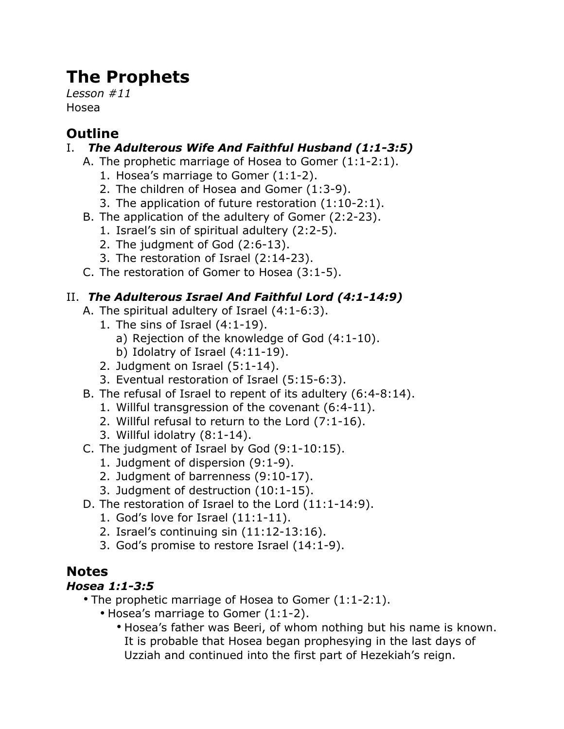# **The Prophets**

*Lesson #11* Hosea

## **Outline**

#### I. *The Adulterous Wife And Faithful Husband (1:1-3:5)*

- A. The prophetic marriage of Hosea to Gomer (1:1-2:1).
	- 1. Hosea's marriage to Gomer (1:1-2).
	- 2. The children of Hosea and Gomer (1:3-9).
	- 3. The application of future restoration (1:10-2:1).
	- B. The application of the adultery of Gomer (2:2-23).
		- 1. Israel's sin of spiritual adultery (2:2-5).
		- 2. The judgment of God (2:6-13).
		- 3. The restoration of Israel (2:14-23).
	- C. The restoration of Gomer to Hosea (3:1-5).

#### II. *The Adulterous Israel And Faithful Lord (4:1-14:9)*

- A. The spiritual adultery of Israel (4:1-6:3).
	- 1. The sins of Israel (4:1-19).
		- a) Rejection of the knowledge of God (4:1-10).
		- b) Idolatry of Israel (4:11-19).
	- 2. Judgment on Israel (5:1-14).
	- 3. Eventual restoration of Israel (5:15-6:3).
- B. The refusal of Israel to repent of its adultery (6:4-8:14).
	- 1. Willful transgression of the covenant (6:4-11).
	- 2. Willful refusal to return to the Lord (7:1-16).
	- 3. Willful idolatry (8:1-14).
- C. The judgment of Israel by God (9:1-10:15).
	- 1. Judgment of dispersion (9:1-9).
	- 2. Judgment of barrenness (9:10-17).
	- 3. Judgment of destruction (10:1-15).
- D. The restoration of Israel to the Lord (11:1-14:9).
	- 1. God's love for Israel (11:1-11).
	- 2. Israel's continuing sin (11:12-13:16).
	- 3. God's promise to restore Israel (14:1-9).

### **Notes**

#### *Hosea 1:1-3:5*

- The prophetic marriage of Hosea to Gomer (1:1-2:1).
	- Hosea's marriage to Gomer (1:1-2).
		- Hosea's father was Beeri, of whom nothing but his name is known. It is probable that Hosea began prophesying in the last days of Uzziah and continued into the first part of Hezekiah's reign.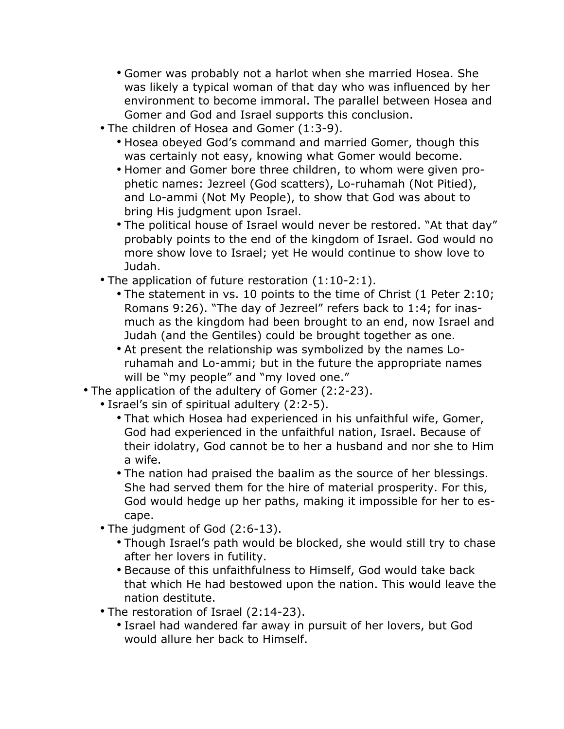- Gomer was probably not a harlot when she married Hosea. She was likely a typical woman of that day who was influenced by her environment to become immoral. The parallel between Hosea and Gomer and God and Israel supports this conclusion.
- The children of Hosea and Gomer (1:3-9).
	- Hosea obeyed God's command and married Gomer, though this was certainly not easy, knowing what Gomer would become.
	- Homer and Gomer bore three children, to whom were given prophetic names: Jezreel (God scatters), Lo-ruhamah (Not Pitied), and Lo-ammi (Not My People), to show that God was about to bring His judgment upon Israel.
	- The political house of Israel would never be restored. "At that day" probably points to the end of the kingdom of Israel. God would no more show love to Israel; yet He would continue to show love to Judah.
- The application of future restoration (1:10-2:1).
	- The statement in vs. 10 points to the time of Christ (1 Peter 2:10; Romans 9:26). "The day of Jezreel" refers back to 1:4; for inasmuch as the kingdom had been brought to an end, now Israel and Judah (and the Gentiles) could be brought together as one.
	- At present the relationship was symbolized by the names Loruhamah and Lo-ammi; but in the future the appropriate names will be "my people" and "my loved one."
- The application of the adultery of Gomer (2:2-23).
	- Israel's sin of spiritual adultery (2:2-5).
		- That which Hosea had experienced in his unfaithful wife, Gomer, God had experienced in the unfaithful nation, Israel. Because of their idolatry, God cannot be to her a husband and nor she to Him a wife.
		- The nation had praised the baalim as the source of her blessings. She had served them for the hire of material prosperity. For this, God would hedge up her paths, making it impossible for her to escape.
	- The judgment of God (2:6-13).
		- Though Israel's path would be blocked, she would still try to chase after her lovers in futility.
		- Because of this unfaithfulness to Himself, God would take back that which He had bestowed upon the nation. This would leave the nation destitute.
	- The restoration of Israel (2:14-23).
		- Israel had wandered far away in pursuit of her lovers, but God would allure her back to Himself.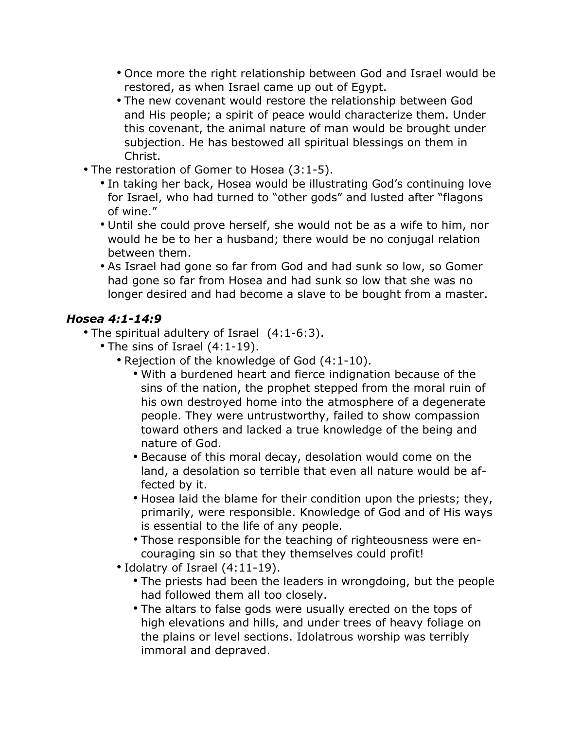- Once more the right relationship between God and Israel would be restored, as when Israel came up out of Egypt.
- The new covenant would restore the relationship between God and His people; a spirit of peace would characterize them. Under this covenant, the animal nature of man would be brought under subjection. He has bestowed all spiritual blessings on them in Christ.
- The restoration of Gomer to Hosea (3:1-5).
	- In taking her back, Hosea would be illustrating God's continuing love for Israel, who had turned to "other gods" and lusted after "flagons of wine."
	- Until she could prove herself, she would not be as a wife to him, nor would he be to her a husband; there would be no conjugal relation between them.
	- As Israel had gone so far from God and had sunk so low, so Gomer had gone so far from Hosea and had sunk so low that she was no longer desired and had become a slave to be bought from a master.

#### *Hosea 4:1-14:9*

• The spiritual adultery of Israel (4:1-6:3).

- The sins of Israel (4:1-19).
	- Rejection of the knowledge of God (4:1-10).
		- With a burdened heart and fierce indignation because of the sins of the nation, the prophet stepped from the moral ruin of his own destroyed home into the atmosphere of a degenerate people. They were untrustworthy, failed to show compassion toward others and lacked a true knowledge of the being and nature of God.
		- Because of this moral decay, desolation would come on the land, a desolation so terrible that even all nature would be affected by it.
		- Hosea laid the blame for their condition upon the priests; they, primarily, were responsible. Knowledge of God and of His ways is essential to the life of any people.
		- Those responsible for the teaching of righteousness were encouraging sin so that they themselves could profit!
	- Idolatry of Israel (4:11-19).
		- The priests had been the leaders in wrongdoing, but the people had followed them all too closely.
		- The altars to false gods were usually erected on the tops of high elevations and hills, and under trees of heavy foliage on the plains or level sections. Idolatrous worship was terribly immoral and depraved.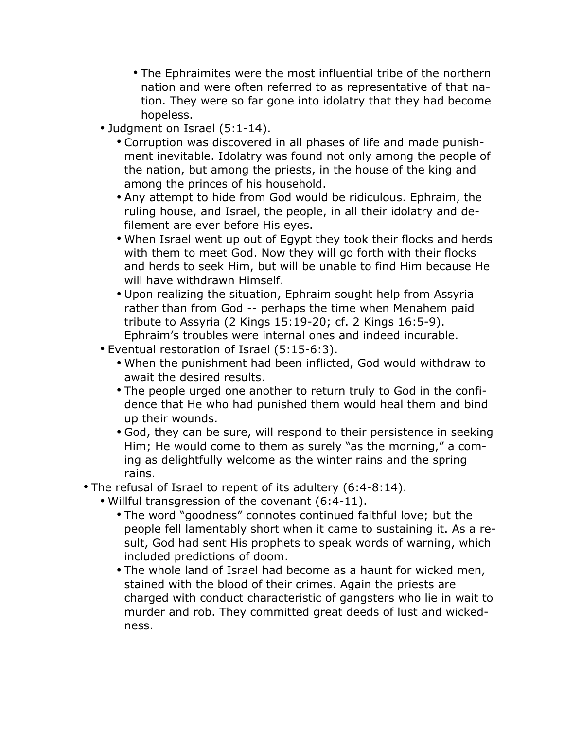- The Ephraimites were the most influential tribe of the northern nation and were often referred to as representative of that nation. They were so far gone into idolatry that they had become hopeless.
- Judgment on Israel (5:1-14).
	- Corruption was discovered in all phases of life and made punishment inevitable. Idolatry was found not only among the people of the nation, but among the priests, in the house of the king and among the princes of his household.
	- Any attempt to hide from God would be ridiculous. Ephraim, the ruling house, and Israel, the people, in all their idolatry and defilement are ever before His eyes.
	- When Israel went up out of Egypt they took their flocks and herds with them to meet God. Now they will go forth with their flocks and herds to seek Him, but will be unable to find Him because He will have withdrawn Himself.
	- Upon realizing the situation, Ephraim sought help from Assyria rather than from God -- perhaps the time when Menahem paid tribute to Assyria (2 Kings 15:19-20; cf. 2 Kings 16:5-9). Ephraim's troubles were internal ones and indeed incurable.
- Eventual restoration of Israel (5:15-6:3).
	- When the punishment had been inflicted, God would withdraw to await the desired results.
	- The people urged one another to return truly to God in the confidence that He who had punished them would heal them and bind up their wounds.
	- God, they can be sure, will respond to their persistence in seeking Him; He would come to them as surely "as the morning," a coming as delightfully welcome as the winter rains and the spring rains.
- The refusal of Israel to repent of its adultery (6:4-8:14).
	- Willful transgression of the covenant (6:4-11).
		- The word "goodness" connotes continued faithful love; but the people fell lamentably short when it came to sustaining it. As a result, God had sent His prophets to speak words of warning, which included predictions of doom.
		- The whole land of Israel had become as a haunt for wicked men, stained with the blood of their crimes. Again the priests are charged with conduct characteristic of gangsters who lie in wait to murder and rob. They committed great deeds of lust and wickedness.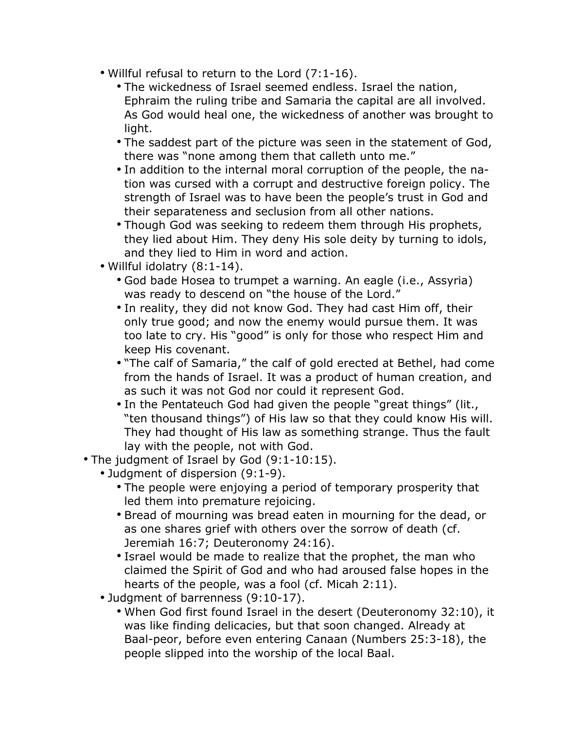- Willful refusal to return to the Lord (7:1-16).
	- The wickedness of Israel seemed endless. Israel the nation, Ephraim the ruling tribe and Samaria the capital are all involved. As God would heal one, the wickedness of another was brought to light.
	- The saddest part of the picture was seen in the statement of God, there was "none among them that calleth unto me."
	- In addition to the internal moral corruption of the people, the nation was cursed with a corrupt and destructive foreign policy. The strength of Israel was to have been the people's trust in God and their separateness and seclusion from all other nations.
	- Though God was seeking to redeem them through His prophets, they lied about Him. They deny His sole deity by turning to idols, and they lied to Him in word and action.
- Willful idolatry (8:1-14).
	- God bade Hosea to trumpet a warning. An eagle (i.e., Assyria) was ready to descend on "the house of the Lord."
	- In reality, they did not know God. They had cast Him off, their only true good; and now the enemy would pursue them. It was too late to cry. His "good" is only for those who respect Him and keep His covenant.
	- "The calf of Samaria," the calf of gold erected at Bethel, had come from the hands of Israel. It was a product of human creation, and as such it was not God nor could it represent God.
	- In the Pentateuch God had given the people "great things" (lit., "ten thousand things") of His law so that they could know His will. They had thought of His law as something strange. Thus the fault lay with the people, not with God.
- The judgment of Israel by God (9:1-10:15).
	- Judgment of dispersion (9:1-9).
		- The people were enjoying a period of temporary prosperity that led them into premature rejoicing.
		- Bread of mourning was bread eaten in mourning for the dead, or as one shares grief with others over the sorrow of death (cf. Jeremiah 16:7; Deuteronomy 24:16).
		- Israel would be made to realize that the prophet, the man who claimed the Spirit of God and who had aroused false hopes in the hearts of the people, was a fool (cf. Micah 2:11).
	- Judgment of barrenness (9:10-17).
		- When God first found Israel in the desert (Deuteronomy 32:10), it was like finding delicacies, but that soon changed. Already at Baal-peor, before even entering Canaan (Numbers 25:3-18), the people slipped into the worship of the local Baal.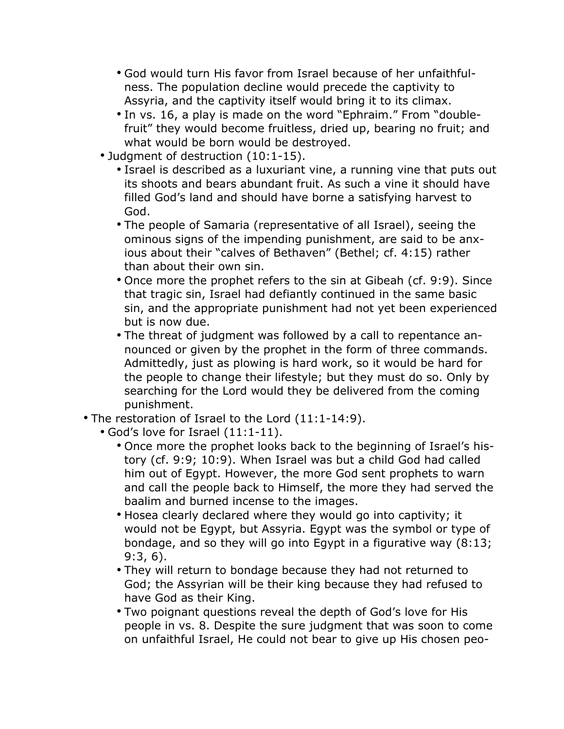- God would turn His favor from Israel because of her unfaithfulness. The population decline would precede the captivity to Assyria, and the captivity itself would bring it to its climax.
- In vs. 16, a play is made on the word "Ephraim." From "doublefruit" they would become fruitless, dried up, bearing no fruit; and what would be born would be destroyed.
- Judgment of destruction (10:1-15).
	- Israel is described as a luxuriant vine, a running vine that puts out its shoots and bears abundant fruit. As such a vine it should have filled God's land and should have borne a satisfying harvest to God.
	- The people of Samaria (representative of all Israel), seeing the ominous signs of the impending punishment, are said to be anxious about their "calves of Bethaven" (Bethel; cf. 4:15) rather than about their own sin.
	- Once more the prophet refers to the sin at Gibeah (cf. 9:9). Since that tragic sin, Israel had defiantly continued in the same basic sin, and the appropriate punishment had not yet been experienced but is now due.
	- The threat of judgment was followed by a call to repentance announced or given by the prophet in the form of three commands. Admittedly, just as plowing is hard work, so it would be hard for the people to change their lifestyle; but they must do so. Only by searching for the Lord would they be delivered from the coming punishment.
- The restoration of Israel to the Lord (11:1-14:9).
	- God's love for Israel (11:1-11).
		- Once more the prophet looks back to the beginning of Israel's history (cf. 9:9; 10:9). When Israel was but a child God had called him out of Egypt. However, the more God sent prophets to warn and call the people back to Himself, the more they had served the baalim and burned incense to the images.
		- Hosea clearly declared where they would go into captivity; it would not be Egypt, but Assyria. Egypt was the symbol or type of bondage, and so they will go into Egypt in a figurative way (8:13; 9:3, 6).
		- They will return to bondage because they had not returned to God; the Assyrian will be their king because they had refused to have God as their King.
		- Two poignant questions reveal the depth of God's love for His people in vs. 8. Despite the sure judgment that was soon to come on unfaithful Israel, He could not bear to give up His chosen peo-